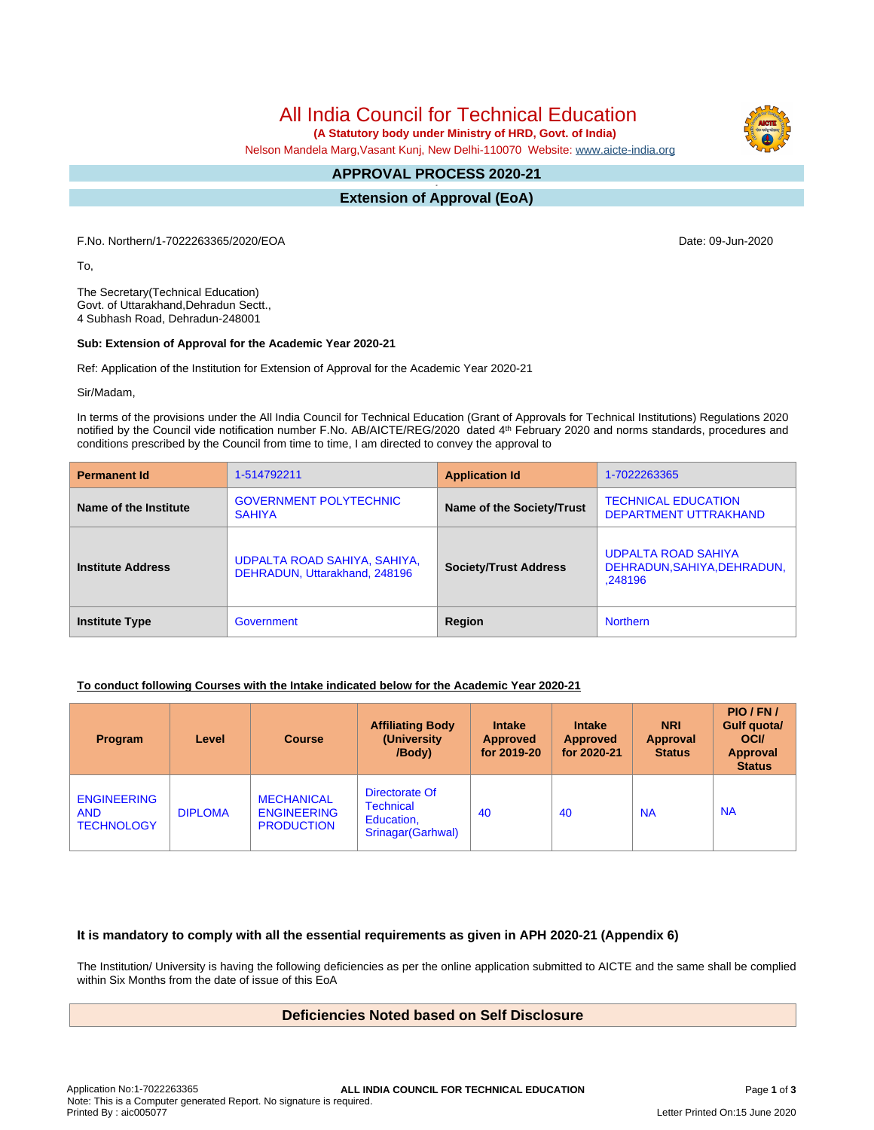All India Council for Technical Education

 **(A Statutory body under Ministry of HRD, Govt. of India)**

Nelson Mandela Marg,Vasant Kunj, New Delhi-110070 Website: [www.aicte-india.org](http://www.aicte-india.org)

#### **APPROVAL PROCESS 2020-21 -**

**Extension of Approval (EoA)**

F.No. Northern/1-7022263365/2020/EOA Date: 09-Jun-2020

To,

The Secretary(Technical Education) Govt. of Uttarakhand,Dehradun Sectt., 4 Subhash Road, Dehradun-248001

## **Sub: Extension of Approval for the Academic Year 2020-21**

Ref: Application of the Institution for Extension of Approval for the Academic Year 2020-21

Sir/Madam,

In terms of the provisions under the All India Council for Technical Education (Grant of Approvals for Technical Institutions) Regulations 2020 notified by the Council vide notification number F.No. AB/AICTE/REG/2020 dated 4<sup>th</sup> February 2020 and norms standards, procedures and conditions prescribed by the Council from time to time, I am directed to convey the approval to

| <b>Permanent Id</b>      | 1-514792211                                                   | <b>Application Id</b>        | 1-7022263365                                                         |  |
|--------------------------|---------------------------------------------------------------|------------------------------|----------------------------------------------------------------------|--|
| Name of the Institute    | <b>GOVERNMENT POLYTECHNIC</b><br><b>SAHIYA</b>                | Name of the Society/Trust    | <b>TECHNICAL EDUCATION</b><br>DEPARTMENT UTTRAKHAND                  |  |
| <b>Institute Address</b> | UDPALTA ROAD SAHIYA, SAHIYA,<br>DEHRADUN, Uttarakhand, 248196 | <b>Society/Trust Address</b> | <b>UDPALTA ROAD SAHIYA</b><br>DEHRADUN, SAHIYA, DEHRADUN,<br>.248196 |  |
| <b>Institute Type</b>    | Government                                                    | Region                       | <b>Northern</b>                                                      |  |

#### **To conduct following Courses with the Intake indicated below for the Academic Year 2020-21**

| Program                                               | Level          | <b>Course</b>                                                | <b>Affiliating Body</b><br>(University)<br>/Body)                      | <b>Intake</b><br><b>Approved</b><br>for 2019-20 | <b>Intake</b><br><b>Approved</b><br>for 2020-21 | <b>NRI</b><br>Approval<br><b>Status</b> | PIO/FN/<br>Gulf quota/<br><b>OCI</b><br><b>Approval</b><br><b>Status</b> |
|-------------------------------------------------------|----------------|--------------------------------------------------------------|------------------------------------------------------------------------|-------------------------------------------------|-------------------------------------------------|-----------------------------------------|--------------------------------------------------------------------------|
| <b>ENGINEERING</b><br><b>AND</b><br><b>TECHNOLOGY</b> | <b>DIPLOMA</b> | <b>MECHANICAL</b><br><b>ENGINEERING</b><br><b>PRODUCTION</b> | Directorate Of<br><b>Technical</b><br>Education,<br>Srinagar (Garhwal) | 40                                              | 40                                              | <b>NA</b>                               | <b>NA</b>                                                                |

### **It is mandatory to comply with all the essential requirements as given in APH 2020-21 (Appendix 6)**

The Institution/ University is having the following deficiencies as per the online application submitted to AICTE and the same shall be complied within Six Months from the date of issue of this EoA

# **Deficiencies Noted based on Self Disclosure**

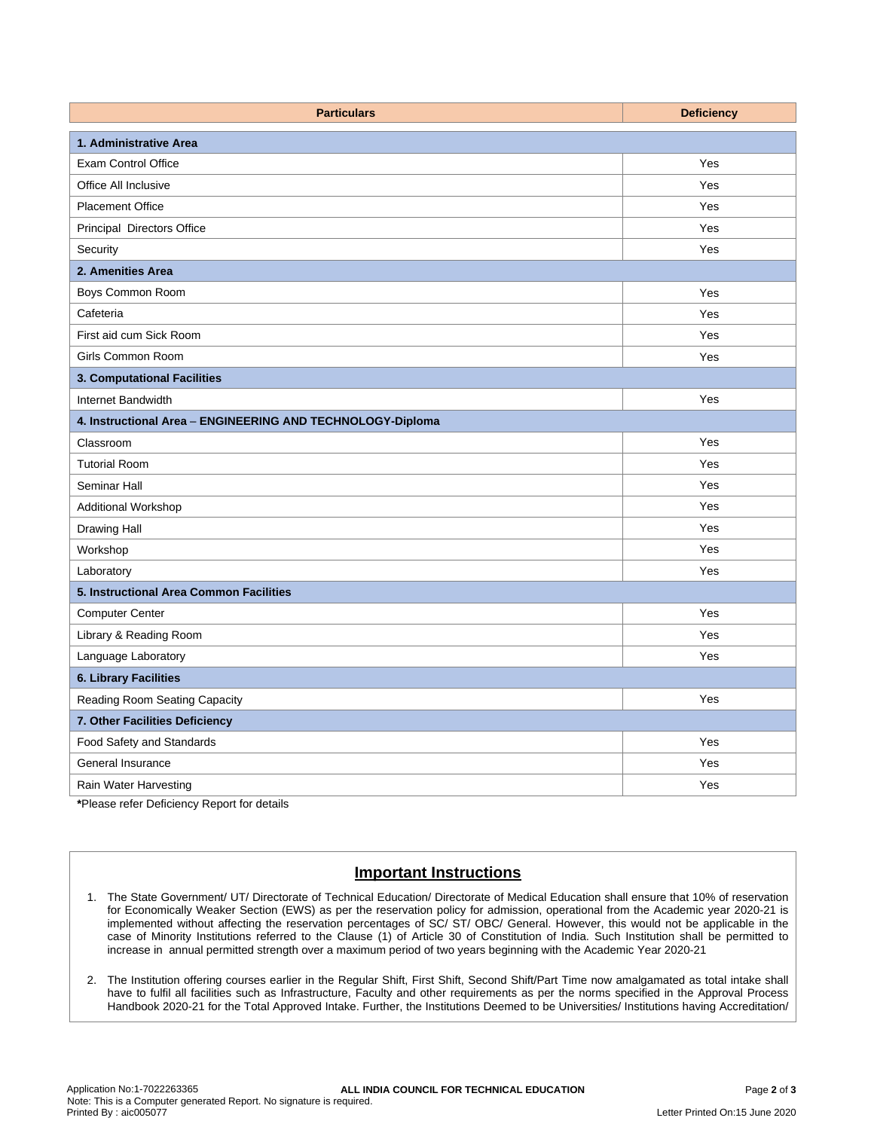| <b>Particulars</b>                                         | <b>Deficiency</b> |  |  |  |  |
|------------------------------------------------------------|-------------------|--|--|--|--|
| 1. Administrative Area                                     |                   |  |  |  |  |
| <b>Exam Control Office</b>                                 | Yes               |  |  |  |  |
| Office All Inclusive                                       | Yes               |  |  |  |  |
| <b>Placement Office</b>                                    | Yes               |  |  |  |  |
| Principal Directors Office                                 | Yes               |  |  |  |  |
| Security                                                   | Yes               |  |  |  |  |
| 2. Amenities Area                                          |                   |  |  |  |  |
| Boys Common Room                                           | Yes               |  |  |  |  |
| Cafeteria                                                  | Yes               |  |  |  |  |
| First aid cum Sick Room                                    | Yes               |  |  |  |  |
| Girls Common Room                                          | Yes               |  |  |  |  |
| 3. Computational Facilities                                |                   |  |  |  |  |
| Internet Bandwidth                                         | Yes               |  |  |  |  |
| 4. Instructional Area - ENGINEERING AND TECHNOLOGY-Diploma |                   |  |  |  |  |
| Classroom                                                  | Yes               |  |  |  |  |
| <b>Tutorial Room</b>                                       | Yes               |  |  |  |  |
| Seminar Hall                                               | Yes               |  |  |  |  |
| Additional Workshop                                        | Yes               |  |  |  |  |
| Drawing Hall                                               | Yes               |  |  |  |  |
| Workshop                                                   | Yes               |  |  |  |  |
| Laboratory                                                 | Yes               |  |  |  |  |
| 5. Instructional Area Common Facilities                    |                   |  |  |  |  |
| <b>Computer Center</b>                                     | Yes               |  |  |  |  |
| Library & Reading Room                                     | Yes               |  |  |  |  |
| Language Laboratory                                        | Yes               |  |  |  |  |
| <b>6. Library Facilities</b>                               |                   |  |  |  |  |
| Reading Room Seating Capacity                              | Yes               |  |  |  |  |
| 7. Other Facilities Deficiency                             |                   |  |  |  |  |
| Food Safety and Standards                                  | Yes               |  |  |  |  |
| <b>General Insurance</b>                                   | Yes               |  |  |  |  |
| Rain Water Harvesting                                      | Yes               |  |  |  |  |

**\***Please refer Deficiency Report for details

# **Important Instructions**

- 1. The State Government/ UT/ Directorate of Technical Education/ Directorate of Medical Education shall ensure that 10% of reservation for Economically Weaker Section (EWS) as per the reservation policy for admission, operational from the Academic year 2020-21 is implemented without affecting the reservation percentages of SC/ ST/ OBC/ General. However, this would not be applicable in the case of Minority Institutions referred to the Clause (1) of Article 30 of Constitution of India. Such Institution shall be permitted to increase in annual permitted strength over a maximum period of two years beginning with the Academic Year 2020-21
- 2. The Institution offering courses earlier in the Regular Shift, First Shift, Second Shift/Part Time now amalgamated as total intake shall have to fulfil all facilities such as Infrastructure, Faculty and other requirements as per the norms specified in the Approval Process Handbook 2020-21 for the Total Approved Intake. Further, the Institutions Deemed to be Universities/ Institutions having Accreditation/